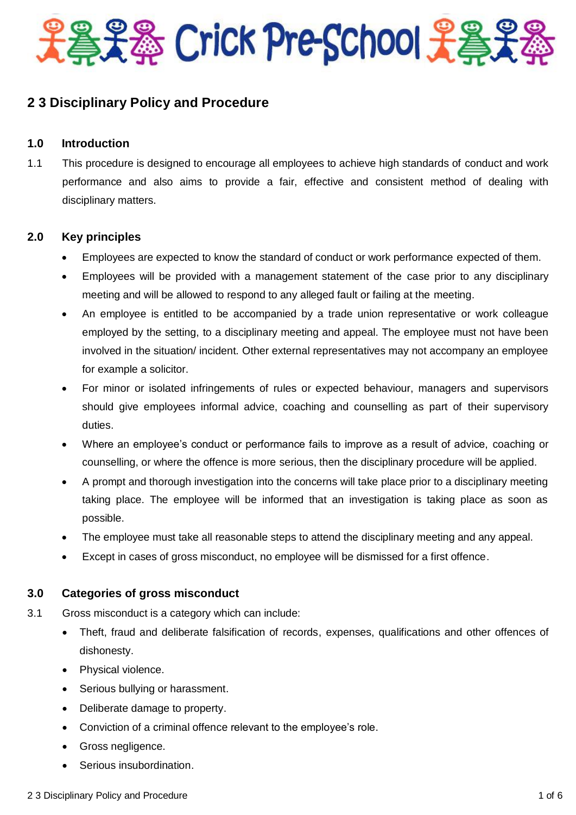

# **2 3 Disciplinary Policy and Procedure**

## **1.0 Introduction**

1.1 This procedure is designed to encourage all employees to achieve high standards of conduct and work performance and also aims to provide a fair, effective and consistent method of dealing with disciplinary matters.

## **2.0 Key principles**

- Employees are expected to know the standard of conduct or work performance expected of them.
- Employees will be provided with a management statement of the case prior to any disciplinary meeting and will be allowed to respond to any alleged fault or failing at the meeting.
- An employee is entitled to be accompanied by a trade union representative or work colleague employed by the setting, to a disciplinary meeting and appeal. The employee must not have been involved in the situation/ incident. Other external representatives may not accompany an employee for example a solicitor.
- For minor or isolated infringements of rules or expected behaviour, managers and supervisors should give employees informal advice, coaching and counselling as part of their supervisory duties.
- Where an employee's conduct or performance fails to improve as a result of advice, coaching or counselling, or where the offence is more serious, then the disciplinary procedure will be applied.
- A prompt and thorough investigation into the concerns will take place prior to a disciplinary meeting taking place. The employee will be informed that an investigation is taking place as soon as possible.
- The employee must take all reasonable steps to attend the disciplinary meeting and any appeal.
- Except in cases of gross misconduct, no employee will be dismissed for a first offence.

## **3.0 Categories of gross misconduct**

- 3.1 Gross misconduct is a category which can include:
	- Theft, fraud and deliberate falsification of records, expenses, qualifications and other offences of dishonesty.
	- Physical violence.
	- Serious bullying or harassment.
	- Deliberate damage to property.
	- Conviction of a criminal offence relevant to the employee's role.
	- Gross negligence.
	- Serious insubordination.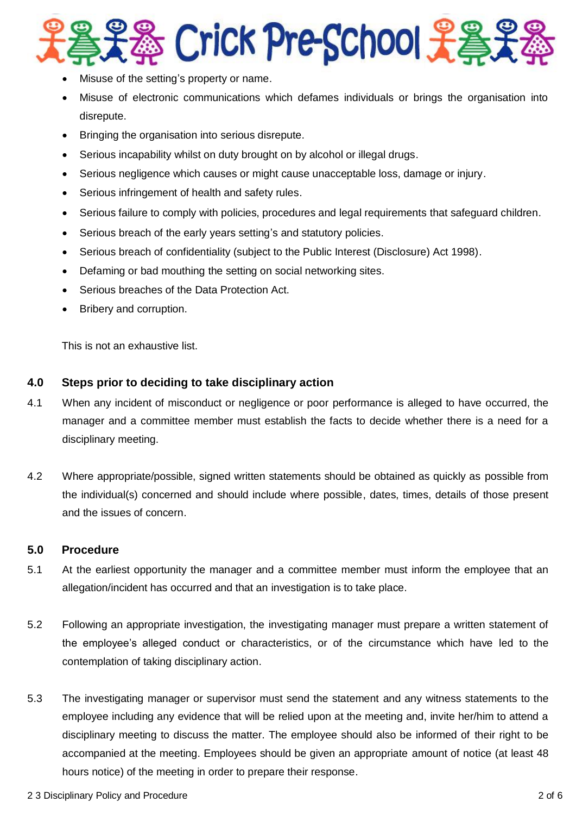

- Misuse of the setting's property or name.
- Misuse of electronic communications which defames individuals or brings the organisation into disrepute.
- Bringing the organisation into serious disrepute.
- Serious incapability whilst on duty brought on by alcohol or illegal drugs.
- Serious negligence which causes or might cause unacceptable loss, damage or injury.
- Serious infringement of health and safety rules.
- Serious failure to comply with policies, procedures and legal requirements that safeguard children.
- Serious breach of the early years setting's and statutory policies.
- Serious breach of confidentiality (subject to the Public Interest (Disclosure) Act 1998).
- Defaming or bad mouthing the setting on social networking sites.
- Serious breaches of the Data Protection Act.
- Bribery and corruption.

This is not an exhaustive list.

## **4.0 Steps prior to deciding to take disciplinary action**

- 4.1 When any incident of misconduct or negligence or poor performance is alleged to have occurred, the manager and a committee member must establish the facts to decide whether there is a need for a disciplinary meeting.
- 4.2 Where appropriate/possible, signed written statements should be obtained as quickly as possible from the individual(s) concerned and should include where possible, dates, times, details of those present and the issues of concern.

## **5.0 Procedure**

- 5.1 At the earliest opportunity the manager and a committee member must inform the employee that an allegation/incident has occurred and that an investigation is to take place.
- 5.2 Following an appropriate investigation, the investigating manager must prepare a written statement of the employee's alleged conduct or characteristics, or of the circumstance which have led to the contemplation of taking disciplinary action.
- 5.3 The investigating manager or supervisor must send the statement and any witness statements to the employee including any evidence that will be relied upon at the meeting and, invite her/him to attend a disciplinary meeting to discuss the matter. The employee should also be informed of their right to be accompanied at the meeting. Employees should be given an appropriate amount of notice (at least 48 hours notice) of the meeting in order to prepare their response.
- 2 3 Disciplinary Policy and Procedure 2 of 6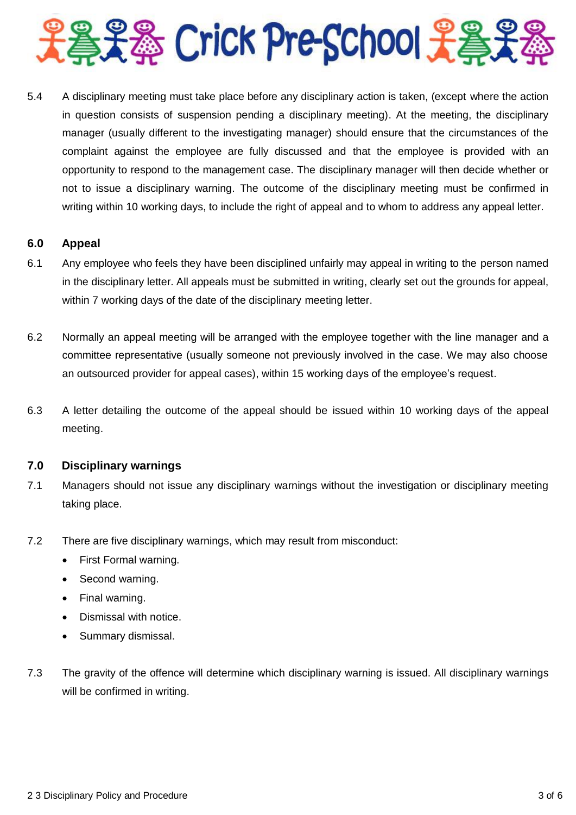

5.4 A disciplinary meeting must take place before any disciplinary action is taken, (except where the action in question consists of suspension pending a disciplinary meeting). At the meeting, the disciplinary manager (usually different to the investigating manager) should ensure that the circumstances of the complaint against the employee are fully discussed and that the employee is provided with an opportunity to respond to the management case. The disciplinary manager will then decide whether or not to issue a disciplinary warning. The outcome of the disciplinary meeting must be confirmed in writing within 10 working days, to include the right of appeal and to whom to address any appeal letter.

#### **6.0 Appeal**

- 6.1 Any employee who feels they have been disciplined unfairly may appeal in writing to the person named in the disciplinary letter. All appeals must be submitted in writing, clearly set out the grounds for appeal, within 7 working days of the date of the disciplinary meeting letter.
- 6.2 Normally an appeal meeting will be arranged with the employee together with the line manager and a committee representative (usually someone not previously involved in the case. We may also choose an outsourced provider for appeal cases), within 15 working days of the employee's request.
- 6.3 A letter detailing the outcome of the appeal should be issued within 10 working days of the appeal meeting.

## **7.0 Disciplinary warnings**

- 7.1 Managers should not issue any disciplinary warnings without the investigation or disciplinary meeting taking place.
- 7.2 There are five disciplinary warnings, which may result from misconduct:
	- First Formal warning.
	- Second warning.
	- Final warning.
	- Dismissal with notice.
	- Summary dismissal.
- 7.3 The gravity of the offence will determine which disciplinary warning is issued. All disciplinary warnings will be confirmed in writing.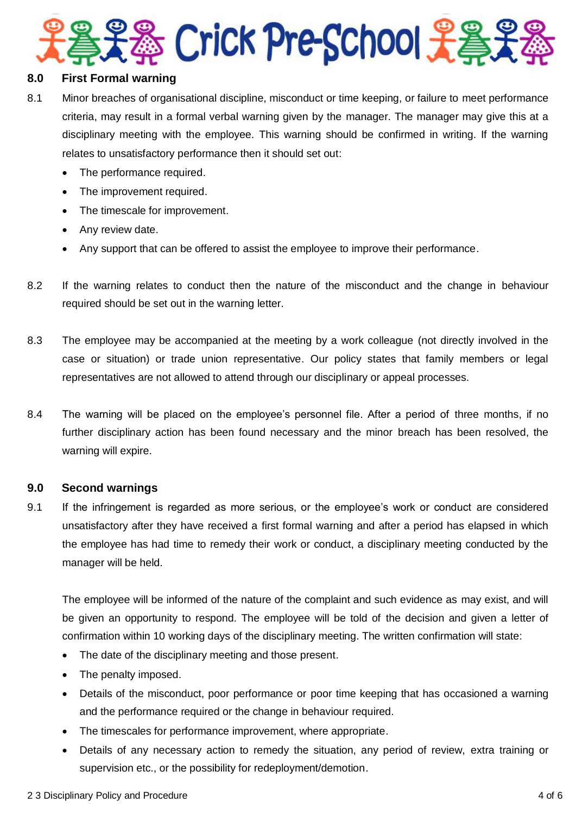

#### **8.0 First Formal warning**

- 8.1 Minor breaches of organisational discipline, misconduct or time keeping, or failure to meet performance criteria, may result in a formal verbal warning given by the manager. The manager may give this at a disciplinary meeting with the employee. This warning should be confirmed in writing. If the warning relates to unsatisfactory performance then it should set out:
	- The performance required.
	- The improvement required.
	- The timescale for improvement.
	- Any review date.
	- Any support that can be offered to assist the employee to improve their performance.
- 8.2 If the warning relates to conduct then the nature of the misconduct and the change in behaviour required should be set out in the warning letter.
- 8.3 The employee may be accompanied at the meeting by a work colleague (not directly involved in the case or situation) or trade union representative. Our policy states that family members or legal representatives are not allowed to attend through our disciplinary or appeal processes.
- 8.4 The warning will be placed on the employee's personnel file. After a period of three months, if no further disciplinary action has been found necessary and the minor breach has been resolved, the warning will expire.

## **9.0 Second warnings**

9.1 If the infringement is regarded as more serious, or the employee's work or conduct are considered unsatisfactory after they have received a first formal warning and after a period has elapsed in which the employee has had time to remedy their work or conduct, a disciplinary meeting conducted by the manager will be held.

The employee will be informed of the nature of the complaint and such evidence as may exist, and will be given an opportunity to respond. The employee will be told of the decision and given a letter of confirmation within 10 working days of the disciplinary meeting. The written confirmation will state:

- The date of the disciplinary meeting and those present.
- The penalty imposed.
- Details of the misconduct, poor performance or poor time keeping that has occasioned a warning and the performance required or the change in behaviour required.
- The timescales for performance improvement, where appropriate.
- Details of any necessary action to remedy the situation, any period of review, extra training or supervision etc., or the possibility for redeployment/demotion.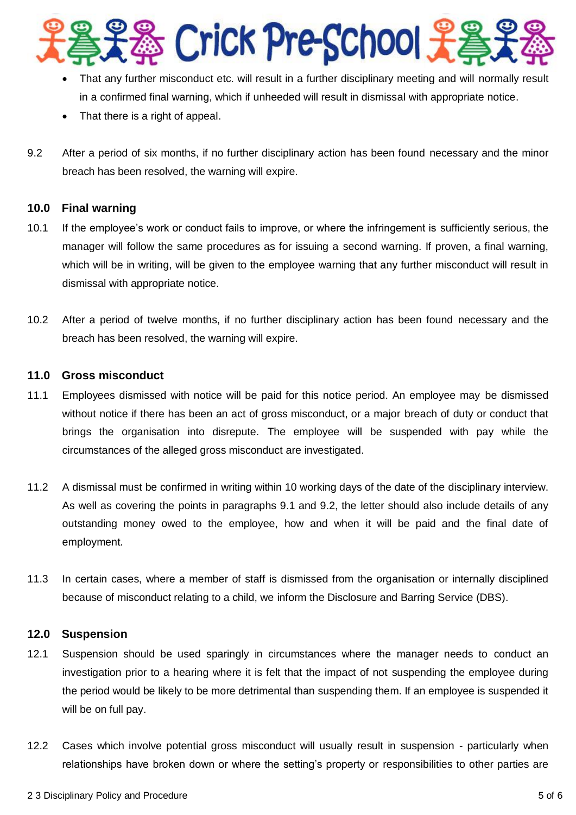

- That any further misconduct etc. will result in a further disciplinary meeting and will normally result in a confirmed final warning, which if unheeded will result in dismissal with appropriate notice.
- That there is a right of appeal.
- 9.2 After a period of six months, if no further disciplinary action has been found necessary and the minor breach has been resolved, the warning will expire.

## **10.0 Final warning**

- 10.1 If the employee's work or conduct fails to improve, or where the infringement is sufficiently serious, the manager will follow the same procedures as for issuing a second warning. If proven, a final warning, which will be in writing, will be given to the employee warning that any further misconduct will result in dismissal with appropriate notice.
- 10.2 After a period of twelve months, if no further disciplinary action has been found necessary and the breach has been resolved, the warning will expire.

## **11.0 Gross misconduct**

- 11.1 Employees dismissed with notice will be paid for this notice period. An employee may be dismissed without notice if there has been an act of gross misconduct, or a major breach of duty or conduct that brings the organisation into disrepute. The employee will be suspended with pay while the circumstances of the alleged gross misconduct are investigated.
- 11.2 A dismissal must be confirmed in writing within 10 working days of the date of the disciplinary interview. As well as covering the points in paragraphs 9.1 and 9.2, the letter should also include details of any outstanding money owed to the employee, how and when it will be paid and the final date of employment.
- 11.3 In certain cases, where a member of staff is dismissed from the organisation or internally disciplined because of misconduct relating to a child, we inform the Disclosure and Barring Service (DBS).

#### **12.0 Suspension**

- 12.1 Suspension should be used sparingly in circumstances where the manager needs to conduct an investigation prior to a hearing where it is felt that the impact of not suspending the employee during the period would be likely to be more detrimental than suspending them. If an employee is suspended it will be on full pay.
- 12.2 Cases which involve potential gross misconduct will usually result in suspension particularly when relationships have broken down or where the setting's property or responsibilities to other parties are